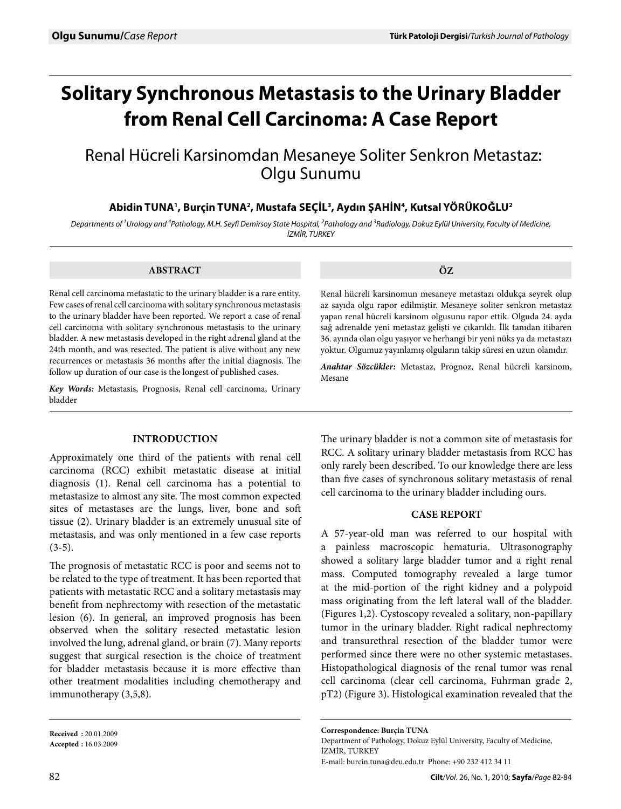# **Solitary Synchronous Metastasis to the Urinary Bladder Ekspresyonu ve Mikrodamar Yoğunluğu from Renal Cell Carcinoma: A Case Report**

# Renal Hücreli Karsinomdan Mesaneye Soliter Senkron Metastaz: Olgu Sunumu

Abidin TUNA<sup>1</sup>, Burçin TUNA<sup>2</sup>, Mustafa SEÇİL<sup>3</sup>, Aydın ŞAHİN<sup>4</sup>, Kutsal YÖRÜKOĞLU<sup>2</sup>

*Departments of 1 Urology and 4 Pathology, M.H. Seyfi Demirsoy State Hospital, 2 Pathology and 3 Radiology, Dokuz Eylül University, Faculty of Medicine, İZMİR, TURKEY*

### **ABSTRACT**

Renal cell carcinoma metastatic to the urinary bladder is a rare entity. Few cases of renal cell carcinoma with solitary synchronous metastasis to the urinary bladder have been reported. We report a case of renal cell carcinoma with solitary synchronous metastasis to the urinary bladder. A new metastasis developed in the right adrenal gland at the 24th month, and was resected. The patient is alive without any new recurrences or metastasis 36 months after the initial diagnosis. The follow up duration of our case is the longest of published cases.

*Key Words:* Metastasis, Prognosis, Renal cell carcinoma, Urinary bladder

## **Introduction**

Approximately one third of the patients with renal cell carcinoma (RCC) exhibit metastatic disease at initial diagnosis (1). Renal cell carcinoma has a potential to metastasize to almost any site. The most common expected sites of metastases are the lungs, liver, bone and soft tissue (2). Urinary bladder is an extremely unusual site of metastasis, and was only mentioned in a few case reports  $(3-5)$ .

The prognosis of metastatic RCC is poor and seems not to be related to the type of treatment. It has been reported that patients with metastatic RCC and a solitary metastasis may benefit from nephrectomy with resection of the metastatic lesion (6). In general, an improved prognosis has been observed when the solitary resected metastatic lesion involved the lung, adrenal gland, or brain (7). Many reports suggest that surgical resection is the choice of treatment for bladder metastasis because it is more effective than other treatment modalities including chemotherapy and immunotherapy (3,5,8).

**Received :** 20.01.2009 **Accepted :** 16.03.2009 **ÖZ**

Renal hücreli karsinomun mesaneye metastazı oldukça seyrek olup az sayıda olgu rapor edilmiştir. Mesaneye soliter senkron metastaz yapan renal hücreli karsinom olgusunu rapor ettik. Olguda 24. ayda sağ adrenalde yeni metastaz gelişti ve çıkarıldı. İlk tanıdan itibaren 36. ayında olan olgu yaşıyor ve herhangi bir yeni nüks ya da metastazı yoktur. Olgumuz yayınlamış olguların takip süresi en uzun olanıdır.

*Anahtar Sözcükler:* Metastaz, Prognoz, Renal hücreli karsinom, Mesane

The urinary bladder is not a common site of metastasis for RCC. A solitary urinary bladder metastasis from RCC has only rarely been described. To our knowledge there are less than five cases of synchronous solitary metastasis of renal cell carcinoma to the urinary bladder including ours.

# **Case report**

A 57-year-old man was referred to our hospital with a painless macroscopic hematuria. Ultrasonography showed a solitary large bladder tumor and a right renal mass. Computed tomography revealed a large tumor at the mid-portion of the right kidney and a polypoid mass originating from the left lateral wall of the bladder. (Figures 1,2). Cystoscopy revealed a solitary, non-papillary tumor in the urinary bladder. Right radical nephrectomy and transurethral resection of the bladder tumor were performed since there were no other systemic metastases. Histopathological diagnosis of the renal tumor was renal cell carcinoma (clear cell carcinoma, Fuhrman grade 2, pT2) (Figure 3). Histological examination revealed that the

Department of Pathology, Dokuz Eylül University, Faculty of Medicine, İZMİR, TURKEY E-mail: burcin.tuna@deu.edu.tr Phone: +90 232 412 34 11

**Correspondence: Burçin TUNA**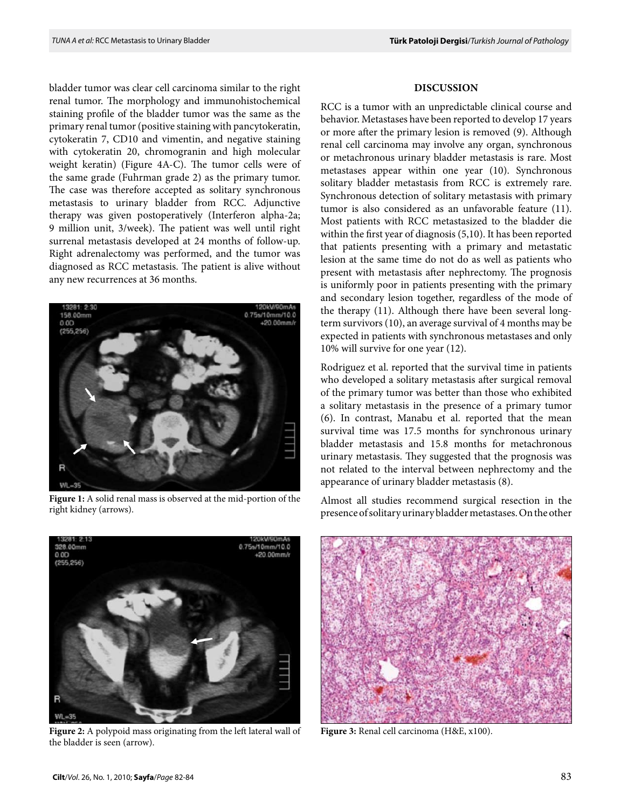bladder tumor was clear cell carcinoma similar to the right renal tumor. The morphology and immunohistochemical staining profile of the bladder tumor was the same as the primary renal tumor (positive staining with pancytokeratin, cytokeratin 7, CD10 and vimentin, and negative staining with cytokeratin 20, chromogranin and high molecular weight keratin) (Figure 4A-C). The tumor cells were of the same grade (Fuhrman grade 2) as the primary tumor. The case was therefore accepted as solitary synchronous metastasis to urinary bladder from RCC. Adjunctive therapy was given postoperatively (Interferon alpha-2a; 9 million unit, 3/week). The patient was well until right surrenal metastasis developed at 24 months of follow-up. Right adrenalectomy was performed, and the tumor was diagnosed as RCC metastasis. The patient is alive without any new recurrences at 36 months.



**Figure 1:** A solid renal mass is observed at the mid-portion of the right kidney (arrows).



**Figure 2:** A polypoid mass originating from the left lateral wall of the bladder is seen (arrow).

#### **Discussion**

RCC is a tumor with an unpredictable clinical course and behavior. Metastases have been reported to develop 17 years or more after the primary lesion is removed (9). Although renal cell carcinoma may involve any organ, synchronous or metachronous urinary bladder metastasis is rare. Most metastases appear within one year (10). Synchronous solitary bladder metastasis from RCC is extremely rare. Synchronous detection of solitary metastasis with primary tumor is also considered as an unfavorable feature (11). Most patients with RCC metastasized to the bladder die within the first year of diagnosis (5,10). It has been reported that patients presenting with a primary and metastatic lesion at the same time do not do as well as patients who present with metastasis after nephrectomy. The prognosis is uniformly poor in patients presenting with the primary and secondary lesion together, regardless of the mode of the therapy (11). Although there have been several longterm survivors (10), an average survival of 4 months may be expected in patients with synchronous metastases and only 10% will survive for one year (12).

Rodriguez et al. reported that the survival time in patients who developed a solitary metastasis after surgical removal of the primary tumor was better than those who exhibited a solitary metastasis in the presence of a primary tumor (6). In contrast, Manabu et al. reported that the mean survival time was 17.5 months for synchronous urinary bladder metastasis and 15.8 months for metachronous urinary metastasis. They suggested that the prognosis was not related to the interval between nephrectomy and the appearance of urinary bladder metastasis (8).

Almost all studies recommend surgical resection in the presence of solitary urinary bladder metastases. On the other



**Figure 3:** Renal cell carcinoma (H&E, x100).